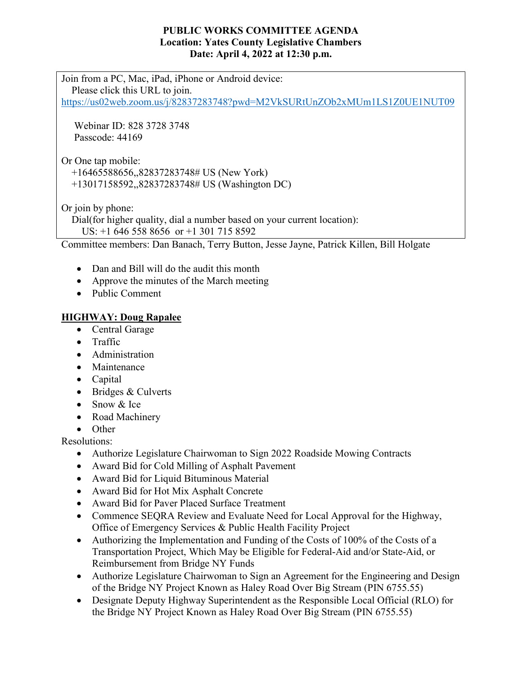### **PUBLIC WORKS COMMITTEE AGENDA Location: Yates County Legislative Chambers Date: April 4, 2022 at 12:30 p.m.**

Join from a PC, Mac, iPad, iPhone or Android device: Please click this URL to join. <https://us02web.zoom.us/j/82837283748?pwd=M2VkSURtUnZOb2xMUm1LS1Z0UE1NUT09>

 Webinar ID: 828 3728 3748 Passcode: 44169

Or One tap mobile:

+16465588656,,82837283748# US (New York)

+13017158592,,82837283748# US (Washington DC)

Or join by phone:

Dial(for higher quality, dial a number based on your current location):

US: +1 646 558 8656 or +1 301 715 8592

Committee members: Dan Banach, Terry Button, Jesse Jayne, Patrick Killen, Bill Holgate

- Dan and Bill will do the audit this month
- Approve the minutes of the March meeting
- Public Comment

### **HIGHWAY: Doug Rapalee**

- Central Garage
- Traffic
- Administration
- Maintenance
- Capital
- Bridges & Culverts
- Snow & Ice
- Road Machinery
- Other

Resolutions:

- Authorize Legislature Chairwoman to Sign 2022 Roadside Mowing Contracts
- Award Bid for Cold Milling of Asphalt Pavement
- Award Bid for Liquid Bituminous Material
- Award Bid for Hot Mix Asphalt Concrete
- Award Bid for Paver Placed Surface Treatment
- Commence SEQRA Review and Evaluate Need for Local Approval for the Highway, Office of Emergency Services & Public Health Facility Project
- Authorizing the Implementation and Funding of the Costs of 100% of the Costs of a Transportation Project, Which May be Eligible for Federal-Aid and/or State-Aid, or Reimbursement from Bridge NY Funds
- Authorize Legislature Chairwoman to Sign an Agreement for the Engineering and Design of the Bridge NY Project Known as Haley Road Over Big Stream (PIN 6755.55)
- Designate Deputy Highway Superintendent as the Responsible Local Official (RLO) for the Bridge NY Project Known as Haley Road Over Big Stream (PIN 6755.55)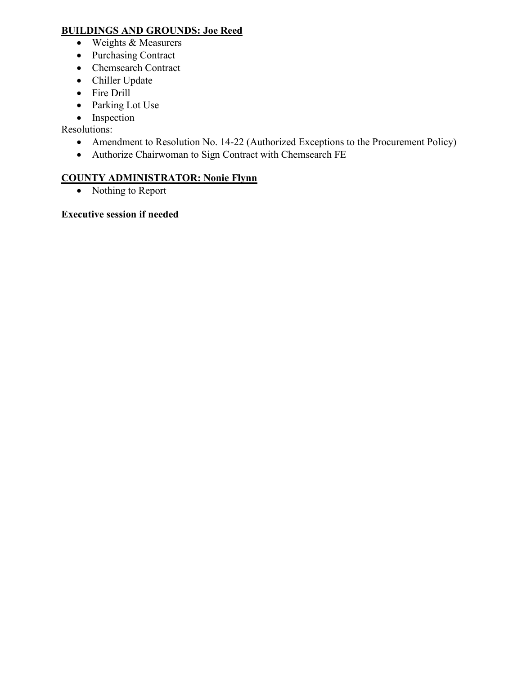### **BUILDINGS AND GROUNDS: Joe Reed**

- Weights & Measurers
- Purchasing Contract
- Chemsearch Contract
- Chiller Update
- Fire Drill
- Parking Lot Use
- Inspection

Resolutions:

- Amendment to Resolution No. 14-22 (Authorized Exceptions to the Procurement Policy)
- Authorize Chairwoman to Sign Contract with Chemsearch FE

## **COUNTY ADMINISTRATOR: Nonie Flynn**

• Nothing to Report

**Executive session if needed**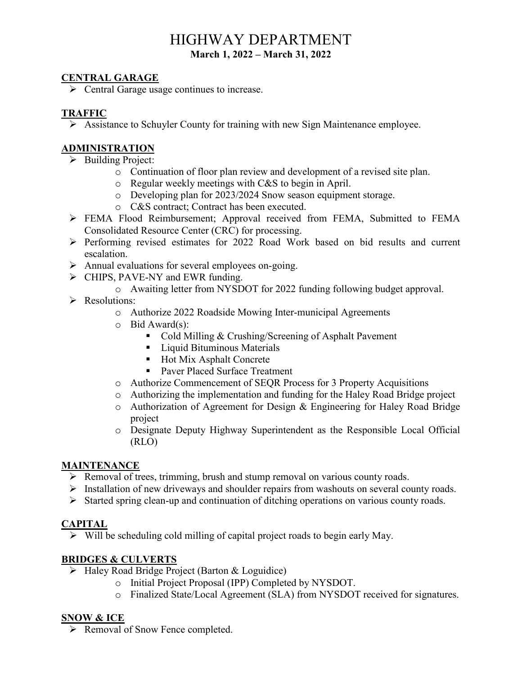# HIGHWAY DEPARTMENT **March 1, 2022 – March 31, 2022**

### **CENTRAL GARAGE**

 $\triangleright$  Central Garage usage continues to increase.

### **TRAFFIC**

Assistance to Schuyler County for training with new Sign Maintenance employee.

### **ADMINISTRATION**

- $\triangleright$  Building Project:
	- o Continuation of floor plan review and development of a revised site plan.
	- o Regular weekly meetings with C&S to begin in April.
	- o Developing plan for 2023/2024 Snow season equipment storage.
	- o C&S contract; Contract has been executed.
- FEMA Flood Reimbursement; Approval received from FEMA, Submitted to FEMA Consolidated Resource Center (CRC) for processing.
- $\triangleright$  Performing revised estimates for 2022 Road Work based on bid results and current escalation.
- Annual evaluations for several employees on-going.
- > CHIPS, PAVE-NY and EWR funding.
	- o Awaiting letter from NYSDOT for 2022 funding following budget approval.
- P Resolutions:
	- o Authorize 2022 Roadside Mowing Inter-municipal Agreements
	- o Bid Award(s):
		- Cold Milling & Crushing/Screening of Asphalt Pavement
		- **Liquid Bituminous Materials**
		- Hot Mix Asphalt Concrete
		- Paver Placed Surface Treatment
	- o Authorize Commencement of SEQR Process for 3 Property Acquisitions
	- o Authorizing the implementation and funding for the Haley Road Bridge project
	- o Authorization of Agreement for Design & Engineering for Haley Road Bridge project
	- o Designate Deputy Highway Superintendent as the Responsible Local Official (RLO)

#### **MAINTENANCE**

- Removal of trees, trimming, brush and stump removal on various county roads.
- $\triangleright$  Installation of new driveways and shoulder repairs from washouts on several county roads.
- $\triangleright$  Started spring clean-up and continuation of ditching operations on various county roads.

### **CAPITAL**

 $\triangleright$  Will be scheduling cold milling of capital project roads to begin early May.

### **BRIDGES & CULVERTS**

- > Haley Road Bridge Project (Barton & Loguidice)
	- o Initial Project Proposal (IPP) Completed by NYSDOT.
	- o Finalized State/Local Agreement (SLA) from NYSDOT received for signatures.

### **SNOW & ICE**

▶ Removal of Snow Fence completed.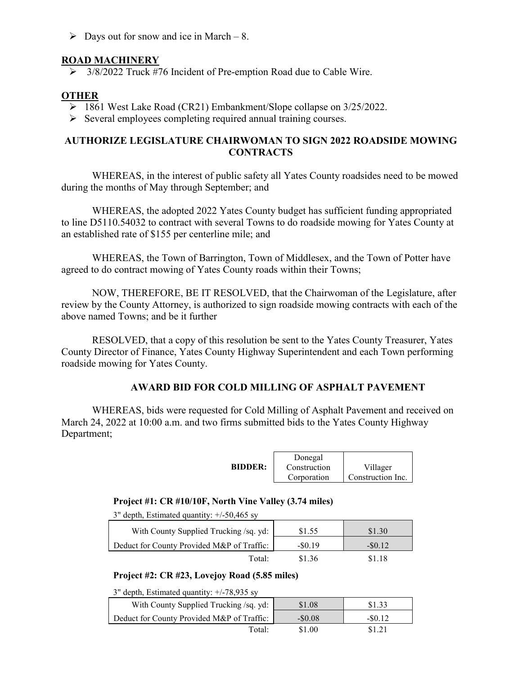$\triangleright$  Days out for snow and ice in March – 8.

### **ROAD MACHINERY**

 $\geq$  3/8/2022 Truck #76 Incident of Pre-emption Road due to Cable Wire.

### **OTHER**

- 1861 West Lake Road (CR21) Embankment/Slope collapse on 3/25/2022.
- $\triangleright$  Several employees completing required annual training courses.

### **AUTHORIZE LEGISLATURE CHAIRWOMAN TO SIGN 2022 ROADSIDE MOWING CONTRACTS**

WHEREAS, in the interest of public safety all Yates County roadsides need to be mowed during the months of May through September; and

WHEREAS, the adopted 2022 Yates County budget has sufficient funding appropriated to line D5110.54032 to contract with several Towns to do roadside mowing for Yates County at an established rate of \$155 per centerline mile; and

WHEREAS, the Town of Barrington, Town of Middlesex, and the Town of Potter have agreed to do contract mowing of Yates County roads within their Towns;

NOW, THEREFORE, BE IT RESOLVED, that the Chairwoman of the Legislature, after review by the County Attorney, is authorized to sign roadside mowing contracts with each of the above named Towns; and be it further

RESOLVED, that a copy of this resolution be sent to the Yates County Treasurer, Yates County Director of Finance, Yates County Highway Superintendent and each Town performing roadside mowing for Yates County.

### **AWARD BID FOR COLD MILLING OF ASPHALT PAVEMENT**

WHEREAS, bids were requested for Cold Milling of Asphalt Pavement and received on March 24, 2022 at 10:00 a.m. and two firms submitted bids to the Yates County Highway Department;

|                | Donegal      |                   |
|----------------|--------------|-------------------|
| <b>BIDDER:</b> | Construction | Villager          |
|                | Corporation  | Construction Inc. |

#### **Project #1: CR #10/10F, North Vine Valley (3.74 miles)**

3" depth, Estimated quantity: +/-50,465 sy

| With County Supplied Trucking /sq. yd:     | \$1.55   | \$1.30   |
|--------------------------------------------|----------|----------|
| Deduct for County Provided M&P of Traffic: | $-80.19$ | $-80.12$ |
| Total:                                     | \$1.36   | \$1.18   |

#### **Project #2: CR #23, Lovejoy Road (5.85 miles)**

3" depth, Estimated quantity: +/-78,935 sy

| With County Supplied Trucking /sq. yd:     | \$1.08    | \$1.33   |
|--------------------------------------------|-----------|----------|
| Deduct for County Provided M&P of Traffic: | $-\$0.08$ | $-80.12$ |
| Total:                                     | \$1.00    | \$1.21   |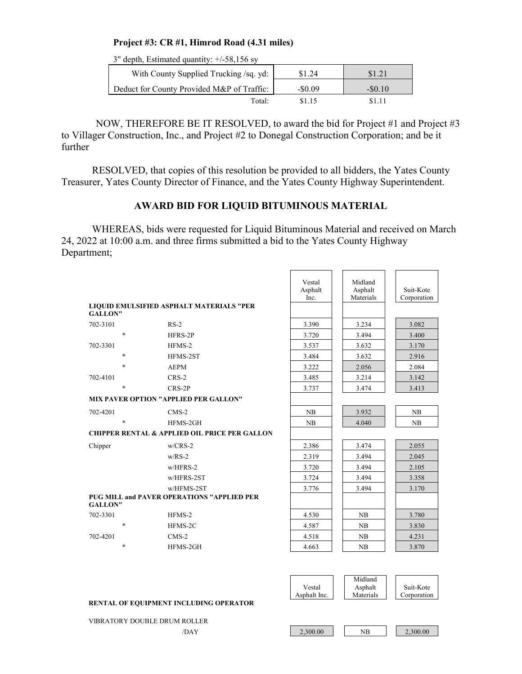#### **Project #3: CR #1, Himrod Road (4.31 miles)**

3" depth, Estimated quantity: +/-58,156 sy

| With County Supplied Trucking /sq. yd:     | \$1.24    |          |
|--------------------------------------------|-----------|----------|
| Deduct for County Provided M&P of Traffic: | $-\$0.09$ | $-$0.10$ |
| Total:                                     | \$1.15    | \$1.11   |

NOW, THEREFORE BE IT RESOLVED, to award the bid for Project #1 and Project #3 to Villager Construction, Inc., and Project #2 to Donegal Construction Corporation; and be it further

RESOLVED, that copies of this resolution be provided to all bidders, the Yates County Treasurer, Yates County Director of Finance, and the Yates County Highway Superintendent.

#### **AWARD BID FOR LIQUID BITUMINOUS MATERIAL**

WHEREAS, bids were requested for Liquid Bituminous Material and received on March 24, 2022 at 10:00 a.m. and three firms submitted a bid to the Yates County Highway Department;

 $\overline{\phantom{0}}$ 

 $\overline{\phantom{a}}$  , and the state of  $\overline{\phantom{a}}$ 

 $\overline{\phantom{0}}$ 

|                |                       |                                                          | Vestal<br>Asphalt<br>Inc. | Midland<br>Asphalt<br>Materials | Suit-Kote<br>Corporation |
|----------------|-----------------------|----------------------------------------------------------|---------------------------|---------------------------------|--------------------------|
| <b>GALLON"</b> |                       | <b>LIOUID EMULSIFIED ASPHALT MATERIALS "PER</b>          |                           |                                 |                          |
| 702-3101       | $RS-2$                |                                                          | 3.390                     | 3.234                           | 3.082                    |
|                | $\ast$                | $HFRS-2P$                                                | 3.720                     | 3.494                           | 3.400                    |
| 702-3301       | HFMS-2                |                                                          | 3.537                     | 3.632                           | 3.170                    |
|                | $\ast$                | HFMS-2ST                                                 | 3.484                     | 3.632                           | 2.916                    |
|                | $\ast$<br><b>AEPM</b> |                                                          | 3.222                     | 2.056                           | 2.084                    |
| 702-4101       | $CRS-2$               |                                                          | 3.485                     | 3.214                           | 3.142                    |
|                | $\ast$<br>$CRS-2P$    |                                                          | 3.737                     | 3.474                           | 3.413                    |
|                |                       | <b>MIX PAVER OPTION "APPLIED PER GALLON"</b>             |                           |                                 |                          |
| 702-4201       | $CMS-2$               |                                                          | NB                        | 3.932                           | NB                       |
|                | $\ast$                | HFMS-2GH                                                 | NB                        | 4.040                           | NB                       |
|                |                       | <b>CHIPPER RENTAL &amp; APPLIED OIL PRICE PER GALLON</b> |                           |                                 |                          |
| Chipper        | $w/CRS-2$             |                                                          | 2.386                     | 3.474                           | 2.055                    |
|                | $w/RS-2$              |                                                          | 2.319                     | 3.494                           | 2.045                    |
|                |                       | $w/$ HFRS-2                                              | 3.720                     | 3.494                           | 2.105                    |
|                |                       | w/HFRS-2ST                                               | 3.724                     | 3.494                           | 3.358                    |
|                |                       | w/HFMS-2ST                                               | 3.776                     | 3.494                           | 3.170                    |
| <b>GALLON"</b> |                       | <b>PUG MILL and PAVER OPERATIONS "APPLIED PER</b>        |                           |                                 |                          |
| 702-3301       | HFMS-2                |                                                          | 4.530                     | NB                              | 3.780                    |
|                | $\ast$                | HFMS-2C                                                  | 4.587                     | NB                              | 3.830                    |
| 702-4201       | $CMS-2$               |                                                          | 4.518                     | NB                              | 4.231                    |
|                | $\ast$                | HFMS-2GH                                                 | 4.663                     | NB                              | 3.870                    |
|                |                       |                                                          |                           |                                 |                          |
|                |                       |                                                          | Vestal                    | Midland<br>Asphalt              | Suit-Kote                |
|                |                       |                                                          | Asphalt Inc.              | Materials                       | Corporation              |
|                |                       | RENTAL OF EQUIPMENT INCLUDING OPERATOR                   |                           |                                 |                          |

VIBRATORY DOUBLE DRUM ROLLER

/DAY 2,300.00 NB 2,300.00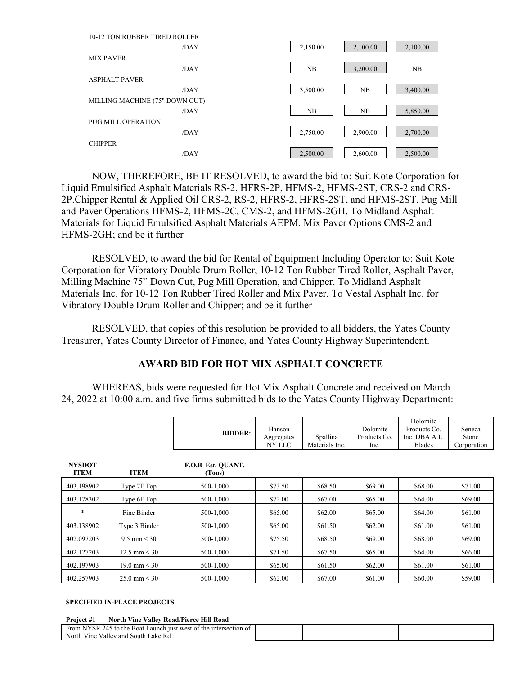| 10-12 TON RUBBER TIRED ROLLER  |          |          |          |
|--------------------------------|----------|----------|----------|
| /DAY                           | 2,150.00 | 2,100.00 | 2,100.00 |
| <b>MIX PAVER</b>               |          |          |          |
| /DAY                           | NB       | 3,200.00 | NB       |
| <b>ASPHALT PAVER</b>           |          |          |          |
| /DAY                           | 3,500.00 | NB       | 3,400.00 |
| MILLING MACHINE (75" DOWN CUT) |          |          |          |
| /DAY                           | NB       | NB       | 5,850.00 |
| PUG MILL OPERATION             |          |          |          |
| /DAY                           | 2,750.00 | 2,900.00 | 2,700.00 |
| <b>CHIPPER</b>                 |          |          |          |
| /DAY                           | 2,500.00 | 2,600.00 | 2,500.00 |

NOW, THEREFORE, BE IT RESOLVED, to award the bid to: Suit Kote Corporation for Liquid Emulsified Asphalt Materials RS-2, HFRS-2P, HFMS-2, HFMS-2ST, CRS-2 and CRS-2P.Chipper Rental & Applied Oil CRS-2, RS-2, HFRS-2, HFRS-2ST, and HFMS-2ST. Pug Mill and Paver Operations HFMS-2, HFMS-2C, CMS-2, and HFMS-2GH. To Midland Asphalt Materials for Liquid Emulsified Asphalt Materials AEPM. Mix Paver Options CMS-2 and HFMS-2GH; and be it further

RESOLVED, to award the bid for Rental of Equipment Including Operator to: Suit Kote Corporation for Vibratory Double Drum Roller, 10-12 Ton Rubber Tired Roller, Asphalt Paver, Milling Machine 75" Down Cut, Pug Mill Operation, and Chipper. To Midland Asphalt Materials Inc. for 10-12 Ton Rubber Tired Roller and Mix Paver. To Vestal Asphalt Inc. for Vibratory Double Drum Roller and Chipper; and be it further

RESOLVED, that copies of this resolution be provided to all bidders, the Yates County Treasurer, Yates County Director of Finance, and Yates County Highway Superintendent.

### **AWARD BID FOR HOT MIX ASPHALT CONCRETE**

WHEREAS, bids were requested for Hot Mix Asphalt Concrete and received on March 24, 2022 at 10:00 a.m. and five firms submitted bids to the Yates County Highway Department:

|                              |                        | <b>BIDDER:</b>              | Hanson<br>Aggregates<br>NY LLC | Spallina<br>Materials Inc. | Dolomite<br>Products Co.<br>Inc. | Dolomite<br>Products Co.<br>Inc. DBA A.L.<br><b>Blades</b> | Seneca<br>Stone<br>Corporation |
|------------------------------|------------------------|-----------------------------|--------------------------------|----------------------------|----------------------------------|------------------------------------------------------------|--------------------------------|
| <b>NYSDOT</b><br><b>ITEM</b> | <b>ITEM</b>            | F.O.B Est. OUANT.<br>(Tons) |                                |                            |                                  |                                                            |                                |
| 403.198902                   | Type 7F Top            | 500-1.000                   | \$73.50                        | \$68.50                    | \$69.00                          | \$68.00                                                    | \$71.00                        |
| 403.178302                   | Type 6F Top            | 500-1.000                   | \$72.00                        | \$67.00                    | \$65.00                          | \$64.00                                                    | \$69.00                        |
| $\ast$                       | Fine Binder            | 500-1.000                   | \$65.00                        | \$62.00                    | \$65.00                          | \$64.00                                                    | \$61.00                        |
| 403.138902                   | Type 3 Binder          | 500-1,000                   | \$65.00                        | \$61.50                    | \$62.00                          | \$61.00                                                    | \$61.00                        |
| 402.097203                   | $9.5 \text{ mm} < 30$  | 500-1,000                   | \$75.50                        | \$68.50                    | \$69.00                          | \$68.00                                                    | \$69.00                        |
| 402.127203                   | $12.5 \text{ mm} < 30$ | 500-1.000                   | \$71.50                        | \$67.50                    | \$65.00                          | \$64.00                                                    | \$66.00                        |
| 402.197903                   | $19.0 \text{ mm} < 30$ | 500-1.000                   | \$65.00                        | \$61.50                    | \$62.00                          | \$61.00                                                    | \$61.00                        |
| 402.257903                   | $25.0 \text{ mm} < 30$ | 500-1.000                   | \$62.00                        | \$67.00                    | \$61.00                          | \$60.00                                                    | \$59.00                        |

#### **SPECIFIED IN-PLACE PROJECTS**

| North Vine Valley Road/Pierce Hill Road<br>Project #1             |  |  |  |
|-------------------------------------------------------------------|--|--|--|
| From NYSR 245 to the Boat Launch just west of the intersection of |  |  |  |
| North Vine Valley and South Lake Rd                               |  |  |  |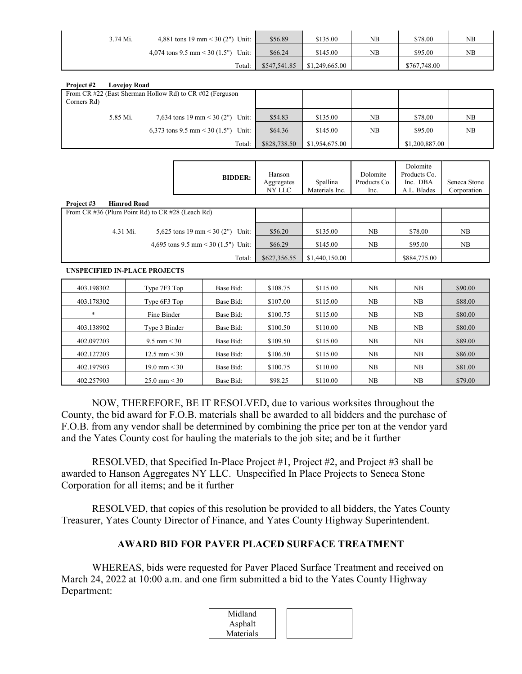| 3.74 Mi. | 4,881 tons 19 mm < 30 (2") Unit:         | \$56.89      | \$135.00       | NB | \$78.00      | <b>NB</b> |
|----------|------------------------------------------|--------------|----------------|----|--------------|-----------|
|          | 4,074 tons 9.5 mm $<$ 30 (1.5")<br>Unit: | \$66.24      | \$145.00       | NB | \$95.00      | NΒ        |
|          | Total:                                   | \$547,541.85 | \$1,249,665.00 |    | \$767,748.00 |           |

| Project #2  | <b>Lovejov Road</b> |                                                          |              |                |    |                |    |
|-------------|---------------------|----------------------------------------------------------|--------------|----------------|----|----------------|----|
|             |                     | From CR #22 (East Sherman Hollow Rd) to CR #02 (Ferguson |              |                |    |                |    |
| Corners Rd) |                     |                                                          |              |                |    |                |    |
|             | 5.85 Mi.            | 7,634 tons 19 mm < 30 (2")<br>Unit:                      | \$54.83      | \$135.00       | NB | \$78.00        | NB |
|             |                     | 6,373 tons 9.5 mm < 30 (1.5") Unit:                      | \$64.36      | \$145.00       | NB | \$95.00        | NB |
|             |                     | Total:                                                   | \$828,738.50 | \$1,954,675.00 |    | \$1,200,887.00 |    |

| <b>BIDDER:</b> | Hanson<br>Aggregates<br>NY LLC                                                                                                                                    | Spallina<br>Materials Inc. | Dolomite<br>Products Co.<br>Inc. | Dolomite<br>Products Co.<br>Inc. DBA<br>A.L. Blades | Seneca Stone<br>Corporation |
|----------------|-------------------------------------------------------------------------------------------------------------------------------------------------------------------|----------------------------|----------------------------------|-----------------------------------------------------|-----------------------------|
|                |                                                                                                                                                                   |                            |                                  |                                                     |                             |
|                |                                                                                                                                                                   |                            |                                  |                                                     |                             |
| Unit:          | \$56.20                                                                                                                                                           | \$135.00                   | NB.                              | \$78.00                                             | NB                          |
|                | \$66.29                                                                                                                                                           | \$145.00                   | NB                               | \$95.00                                             | NB                          |
| Total:         | \$627,356.55                                                                                                                                                      | \$1,440,150.00             |                                  | \$884,775.00                                        |                             |
|                | From CR $\#36$ (Plum Point Rd) to CR $\#28$ (Leach Rd)<br>5,625 tons 19 mm < 30 (2")<br>4,695 tons 9.5 mm < 30 (1.5") Unit:<br>IBIOREALEREN BY BL. AR BB O IR ARA |                            |                                  |                                                     |                             |

**UNSPECIFIED IN-PLACE PROJECTS** 

| 403.198302 | Type 7F3 Top           | Base Bid: | \$108.75 | \$115.00 | NB | NB | \$90.00 |
|------------|------------------------|-----------|----------|----------|----|----|---------|
| 403.178302 | Type 6F3 Top           | Base Bid: | \$107.00 | \$115.00 | NB | NB | \$88.00 |
| $\ast$     | Fine Binder            | Base Bid: | \$100.75 | \$115.00 | NB | NB | \$80.00 |
| 403.138902 | Type 3 Binder          | Base Bid: | \$100.50 | \$110.00 | NB | NB | \$80.00 |
| 402.097203 | 9.5 mm $<$ 30          | Base Bid: | \$109.50 | \$115.00 | NB | NB | \$89.00 |
| 402.127203 | $12.5 \text{ mm} < 30$ | Base Bid: | \$106.50 | \$115.00 | NB | NB | \$86.00 |
| 402.197903 | $19.0 \text{ mm} < 30$ | Base Bid: | \$100.75 | \$110.00 | NB | NB | \$81.00 |
| 402.257903 | $25.0 \text{ mm} < 30$ | Base Bid: | \$98.25  | \$110.00 | NB | NB | \$79.00 |

NOW, THEREFORE, BE IT RESOLVED, due to various worksites throughout the County, the bid award for F.O.B. materials shall be awarded to all bidders and the purchase of F.O.B. from any vendor shall be determined by combining the price per ton at the vendor yard and the Yates County cost for hauling the materials to the job site; and be it further

RESOLVED, that Specified In-Place Project #1, Project #2, and Project #3 shall be awarded to Hanson Aggregates NY LLC. Unspecified In Place Projects to Seneca Stone Corporation for all items; and be it further

RESOLVED, that copies of this resolution be provided to all bidders, the Yates County Treasurer, Yates County Director of Finance, and Yates County Highway Superintendent.

### **AWARD BID FOR PAVER PLACED SURFACE TREATMENT**

WHEREAS, bids were requested for Paver Placed Surface Treatment and received on March 24, 2022 at 10:00 a.m. and one firm submitted a bid to the Yates County Highway Department:

| Midland   |  |
|-----------|--|
| Asphalt   |  |
| Materials |  |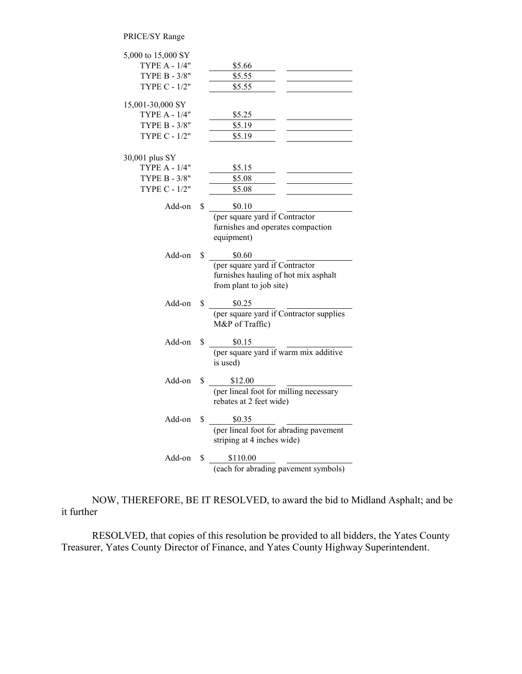#### PRICE/SY Range

| 5,000 to 15,000 SY   |    |                                         |
|----------------------|----|-----------------------------------------|
| <b>TYPE A - 1/4"</b> |    | \$5.66                                  |
| TYPE B - 3/8"        |    | \$5.55                                  |
| TYPE C - 1/2"        |    | \$5.55                                  |
| 15,001-30,000 SY     |    |                                         |
| TYPE A - 1/4"        |    | \$5.25                                  |
| TYPE B - 3/8"        |    | \$5.19                                  |
| TYPE C - 1/2"        |    | \$5.19                                  |
| 30,001 plus SY       |    |                                         |
| <b>TYPE A - 1/4"</b> |    | \$5.15                                  |
| TYPE B - 3/8"        |    | \$5.08                                  |
| TYPE C - 1/2"        |    | \$5.08                                  |
| Add-on               | \$ | \$0.10                                  |
|                      |    | (per square yard if Contractor          |
|                      |    | furnishes and operates compaction       |
|                      |    | equipment)                              |
| Add-on               | \$ | \$0.60                                  |
|                      |    | (per square yard if Contractor          |
|                      |    | furnishes hauling of hot mix asphalt    |
|                      |    | from plant to job site)                 |
| Add-on               | \$ | \$0.25                                  |
|                      |    | (per square yard if Contractor supplies |
|                      |    | M&P of Traffic)                         |
| Add-on               | S. | \$0.15                                  |
|                      |    | (per square yard if warm mix additive   |
|                      |    | is used)                                |
| Add-on               | \$ | \$12.00                                 |
|                      |    | (per lineal foot for milling necessary  |
|                      |    | rebates at 2 feet wide)                 |
| Add-on               | \$ | \$0.35                                  |
|                      |    | (per lineal foot for abrading pavement  |
|                      |    | striping at 4 inches wide)              |
| Add-on               | \$ | \$110.00                                |
|                      |    | (each for abrading pavement symbols)    |

NOW, THEREFORE, BE IT RESOLVED, to award the bid to Midland Asphalt; and be it further

RESOLVED, that copies of this resolution be provided to all bidders, the Yates County Treasurer, Yates County Director of Finance, and Yates County Highway Superintendent.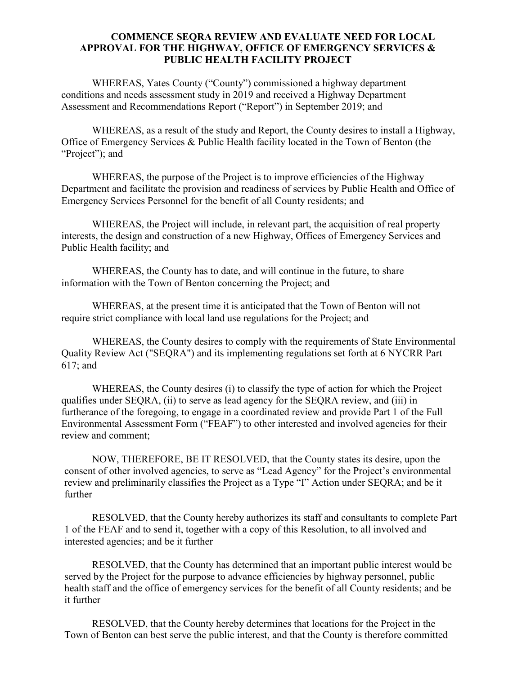#### **COMMENCE SEQRA REVIEW AND EVALUATE NEED FOR LOCAL APPROVAL FOR THE HIGHWAY, OFFICE OF EMERGENCY SERVICES & PUBLIC HEALTH FACILITY PROJECT**

WHEREAS, Yates County ("County") commissioned a highway department conditions and needs assessment study in 2019 and received a Highway Department Assessment and Recommendations Report ("Report") in September 2019; and

WHEREAS, as a result of the study and Report, the County desires to install a Highway, Office of Emergency Services & Public Health facility located in the Town of Benton (the "Project"); and

WHEREAS, the purpose of the Project is to improve efficiencies of the Highway Department and facilitate the provision and readiness of services by Public Health and Office of Emergency Services Personnel for the benefit of all County residents; and

WHEREAS, the Project will include, in relevant part, the acquisition of real property interests, the design and construction of a new Highway, Offices of Emergency Services and Public Health facility; and

WHEREAS, the County has to date, and will continue in the future, to share information with the Town of Benton concerning the Project; and

WHEREAS, at the present time it is anticipated that the Town of Benton will not require strict compliance with local land use regulations for the Project; and

WHEREAS, the County desires to comply with the requirements of State Environmental Quality Review Act ("SEQRA") and its implementing regulations set forth at 6 NYCRR Part 617; and

WHEREAS, the County desires (i) to classify the type of action for which the Project qualifies under SEQRA, (ii) to serve as lead agency for the SEQRA review, and (iii) in furtherance of the foregoing, to engage in a coordinated review and provide Part 1 of the Full Environmental Assessment Form ("FEAF") to other interested and involved agencies for their review and comment;

NOW, THEREFORE, BE IT RESOLVED, that the County states its desire, upon the consent of other involved agencies, to serve as "Lead Agency" for the Project's environmental review and preliminarily classifies the Project as a Type "I" Action under SEQRA; and be it further

RESOLVED, that the County hereby authorizes its staff and consultants to complete Part 1 of the FEAF and to send it, together with a copy of this Resolution, to all involved and interested agencies; and be it further

RESOLVED, that the County has determined that an important public interest would be served by the Project for the purpose to advance efficiencies by highway personnel, public health staff and the office of emergency services for the benefit of all County residents; and be it further

RESOLVED, that the County hereby determines that locations for the Project in the Town of Benton can best serve the public interest, and that the County is therefore committed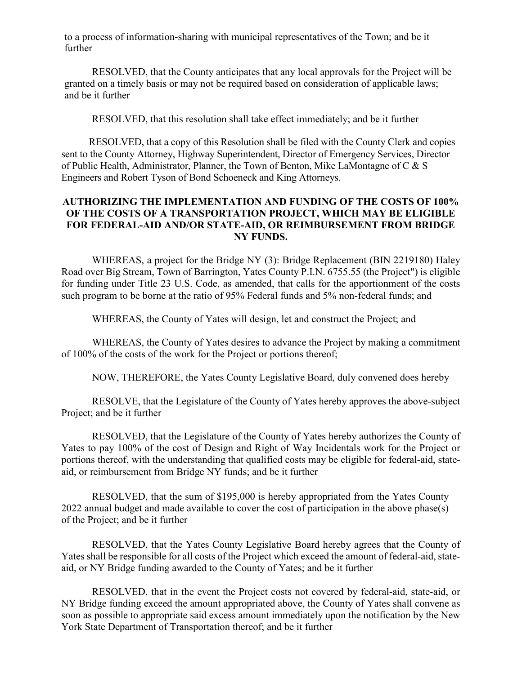to a process of information-sharing with municipal representatives of the Town; and be it further

RESOLVED, that the County anticipates that any local approvals for the Project will be granted on a timely basis or may not be required based on consideration of applicable laws; and be it further

RESOLVED, that this resolution shall take effect immediately; and be it further

RESOLVED, that a copy of this Resolution shall be filed with the County Clerk and copies sent to the County Attorney, Highway Superintendent, Director of Emergency Services, Director of Public Health, Administrator, Planner, the Town of Benton, Mike LaMontagne of C & S Engineers and Robert Tyson of Bond Schoeneck and King Attorneys.

#### **AUTHORIZING THE IMPLEMENTATION AND FUNDING OF THE COSTS OF 100% OF THE COSTS OF A TRANSPORTATION PROJECT, WHICH MAY BE ELIGIBLE FOR FEDERAL-AID AND/OR STATE-AID, OR REIMBURSEMENT FROM BRIDGE NY FUNDS.**

WHEREAS, a project for the Bridge NY (3): Bridge Replacement (BIN 2219180) Haley Road over Big Stream, Town of Barrington, Yates County P.I.N. 6755.55 (the Project") is eligible for funding under Title 23 U.S. Code, as amended, that calls for the apportionment of the costs such program to be borne at the ratio of 95% Federal funds and 5% non-federal funds; and

WHEREAS, the County of Yates will design, let and construct the Project; and

WHEREAS, the County of Yates desires to advance the Project by making a commitment of 100% of the costs of the work for the Project or portions thereof;

NOW, THEREFORE, the Yates County Legislative Board, duly convened does hereby

RESOLVE, that the Legislature of the County of Yates hereby approves the above-subject Project; and be it further

RESOLVED, that the Legislature of the County of Yates hereby authorizes the County of Yates to pay 100% of the cost of Design and Right of Way Incidentals work for the Project or portions thereof, with the understanding that qualified costs may be eligible for federal-aid, stateaid, or reimbursement from Bridge NY funds; and be it further

RESOLVED, that the sum of \$195,000 is hereby appropriated from the Yates County 2022 annual budget and made available to cover the cost of participation in the above phase(s) of the Project; and be it further

RESOLVED, that the Yates County Legislative Board hereby agrees that the County of Yates shall be responsible for all costs of the Project which exceed the amount of federal-aid, stateaid, or NY Bridge funding awarded to the County of Yates; and be it further

RESOLVED, that in the event the Project costs not covered by federal-aid, state-aid, or NY Bridge funding exceed the amount appropriated above, the County of Yates shall convene as soon as possible to appropriate said excess amount immediately upon the notification by the New York State Department of Transportation thereof; and be it further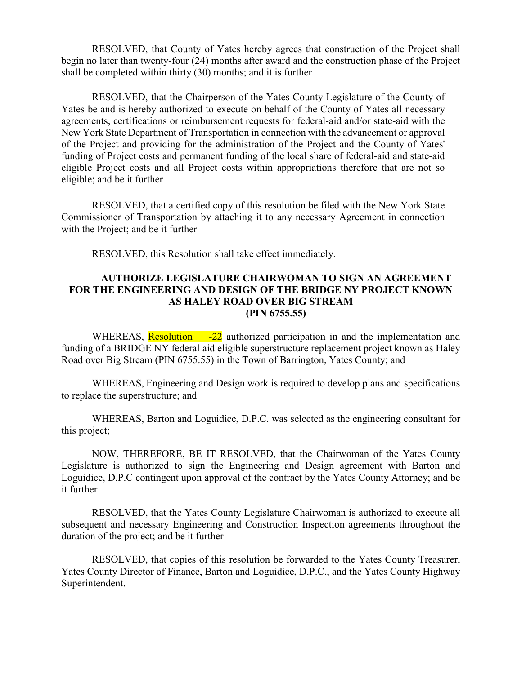RESOLVED, that County of Yates hereby agrees that construction of the Project shall begin no later than twenty-four (24) months after award and the construction phase of the Project shall be completed within thirty (30) months; and it is further

RESOLVED, that the Chairperson of the Yates County Legislature of the County of Yates be and is hereby authorized to execute on behalf of the County of Yates all necessary agreements, certifications or reimbursement requests for federal-aid and/or state-aid with the New York State Department of Transportation in connection with the advancement or approval of the Project and providing for the administration of the Project and the County of Yates' funding of Project costs and permanent funding of the local share of federal-aid and state-aid eligible Project costs and all Project costs within appropriations therefore that are not so eligible; and be it further

RESOLVED, that a certified copy of this resolution be filed with the New York State Commissioner of Transportation by attaching it to any necessary Agreement in connection with the Project; and be it further

RESOLVED, this Resolution shall take effect immediately.

#### **AUTHORIZE LEGISLATURE CHAIRWOMAN TO SIGN AN AGREEMENT FOR THE ENGINEERING AND DESIGN OF THE BRIDGE NY PROJECT KNOWN AS HALEY ROAD OVER BIG STREAM (PIN 6755.55)**

WHEREAS, Resolution -22 authorized participation in and the implementation and funding of a BRIDGE NY federal aid eligible superstructure replacement project known as Haley Road over Big Stream (PIN 6755.55) in the Town of Barrington, Yates County; and

WHEREAS, Engineering and Design work is required to develop plans and specifications to replace the superstructure; and

WHEREAS, Barton and Loguidice, D.P.C. was selected as the engineering consultant for this project;

NOW, THEREFORE, BE IT RESOLVED, that the Chairwoman of the Yates County Legislature is authorized to sign the Engineering and Design agreement with Barton and Loguidice, D.P.C contingent upon approval of the contract by the Yates County Attorney; and be it further

RESOLVED, that the Yates County Legislature Chairwoman is authorized to execute all subsequent and necessary Engineering and Construction Inspection agreements throughout the duration of the project; and be it further

RESOLVED, that copies of this resolution be forwarded to the Yates County Treasurer, Yates County Director of Finance, Barton and Loguidice, D.P.C., and the Yates County Highway Superintendent.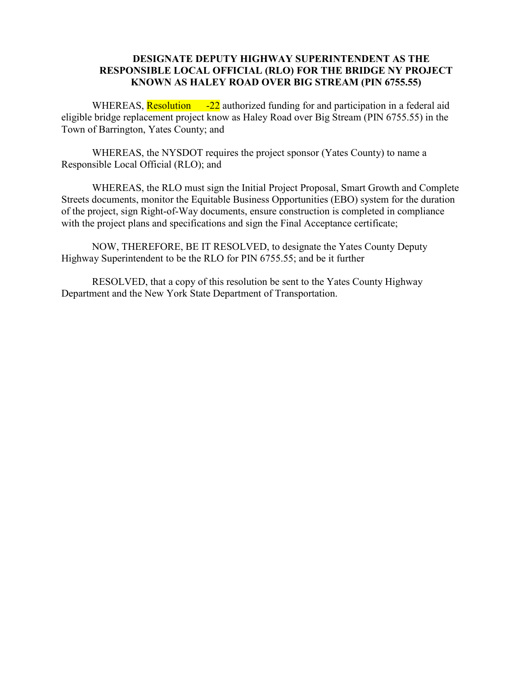#### **DESIGNATE DEPUTY HIGHWAY SUPERINTENDENT AS THE RESPONSIBLE LOCAL OFFICIAL (RLO) FOR THE BRIDGE NY PROJECT KNOWN AS HALEY ROAD OVER BIG STREAM (PIN 6755.55)**

WHEREAS, Resolution -22 authorized funding for and participation in a federal aid eligible bridge replacement project know as Haley Road over Big Stream (PIN 6755.55) in the Town of Barrington, Yates County; and

WHEREAS, the NYSDOT requires the project sponsor (Yates County) to name a Responsible Local Official (RLO); and

 WHEREAS, the RLO must sign the Initial Project Proposal, Smart Growth and Complete Streets documents, monitor the Equitable Business Opportunities (EBO) system for the duration of the project, sign Right-of-Way documents, ensure construction is completed in compliance with the project plans and specifications and sign the Final Acceptance certificate;

NOW, THEREFORE, BE IT RESOLVED, to designate the Yates County Deputy Highway Superintendent to be the RLO for PIN 6755.55; and be it further

RESOLVED, that a copy of this resolution be sent to the Yates County Highway Department and the New York State Department of Transportation.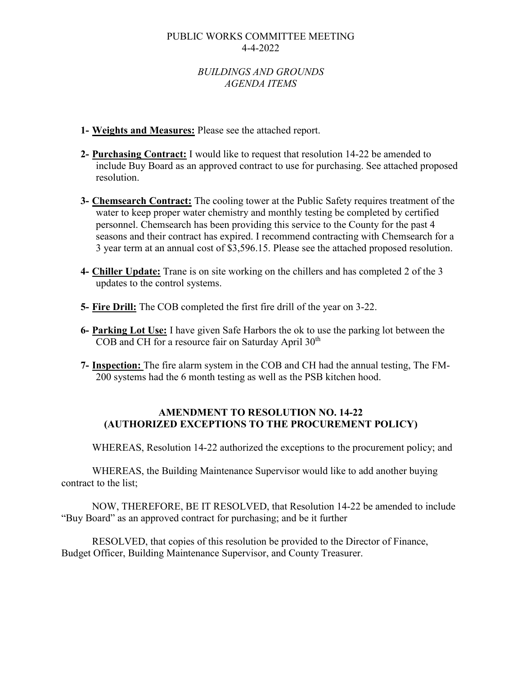#### PUBLIC WORKS COMMITTEE MEETING 4-4-2022

### *BUILDINGS AND GROUNDS AGENDA ITEMS*

- **1- Weights and Measures:** Please see the attached report.
- **2- Purchasing Contract:** I would like to request that resolution 14-22 be amended to include Buy Board as an approved contract to use for purchasing. See attached proposed resolution.
- **3- Chemsearch Contract:** The cooling tower at the Public Safety requires treatment of the water to keep proper water chemistry and monthly testing be completed by certified personnel. Chemsearch has been providing this service to the County for the past 4 seasons and their contract has expired. I recommend contracting with Chemsearch for a 3 year term at an annual cost of \$3,596.15. Please see the attached proposed resolution.
- **4- Chiller Update:** Trane is on site working on the chillers and has completed 2 of the 3 updates to the control systems.
- **5- Fire Drill:** The COB completed the first fire drill of the year on 3-22.
- **6- Parking Lot Use:** I have given Safe Harbors the ok to use the parking lot between the COB and CH for a resource fair on Saturday April 30<sup>th</sup>
- **7- Inspection:** The fire alarm system in the COB and CH had the annual testing, The FM-200 systems had the 6 month testing as well as the PSB kitchen hood.

#### **AMENDMENT TO RESOLUTION NO. 14-22 (AUTHORIZED EXCEPTIONS TO THE PROCUREMENT POLICY)**

WHEREAS, Resolution 14-22 authorized the exceptions to the procurement policy; and

WHEREAS, the Building Maintenance Supervisor would like to add another buying contract to the list;

NOW, THEREFORE, BE IT RESOLVED, that Resolution 14-22 be amended to include "Buy Board" as an approved contract for purchasing; and be it further

RESOLVED, that copies of this resolution be provided to the Director of Finance, Budget Officer, Building Maintenance Supervisor, and County Treasurer.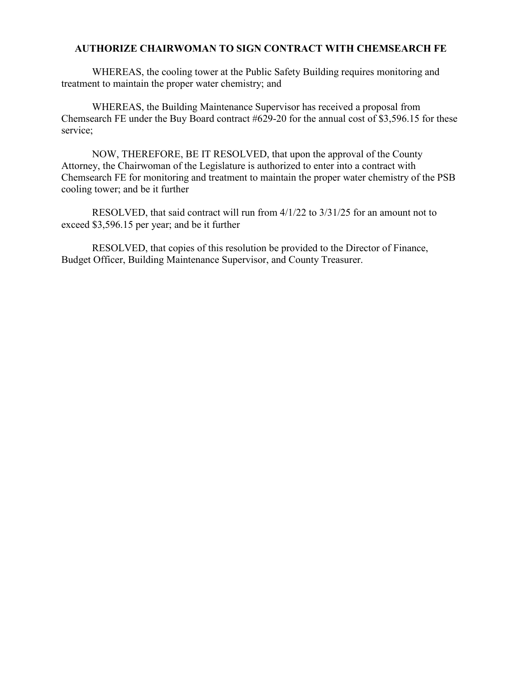#### **AUTHORIZE CHAIRWOMAN TO SIGN CONTRACT WITH CHEMSEARCH FE**

WHEREAS, the cooling tower at the Public Safety Building requires monitoring and treatment to maintain the proper water chemistry; and

WHEREAS, the Building Maintenance Supervisor has received a proposal from Chemsearch FE under the Buy Board contract #629-20 for the annual cost of \$3,596.15 for these service;

NOW, THEREFORE, BE IT RESOLVED, that upon the approval of the County Attorney, the Chairwoman of the Legislature is authorized to enter into a contract with Chemsearch FE for monitoring and treatment to maintain the proper water chemistry of the PSB cooling tower; and be it further

RESOLVED, that said contract will run from 4/1/22 to 3/31/25 for an amount not to exceed \$3,596.15 per year; and be it further

RESOLVED, that copies of this resolution be provided to the Director of Finance, Budget Officer, Building Maintenance Supervisor, and County Treasurer.